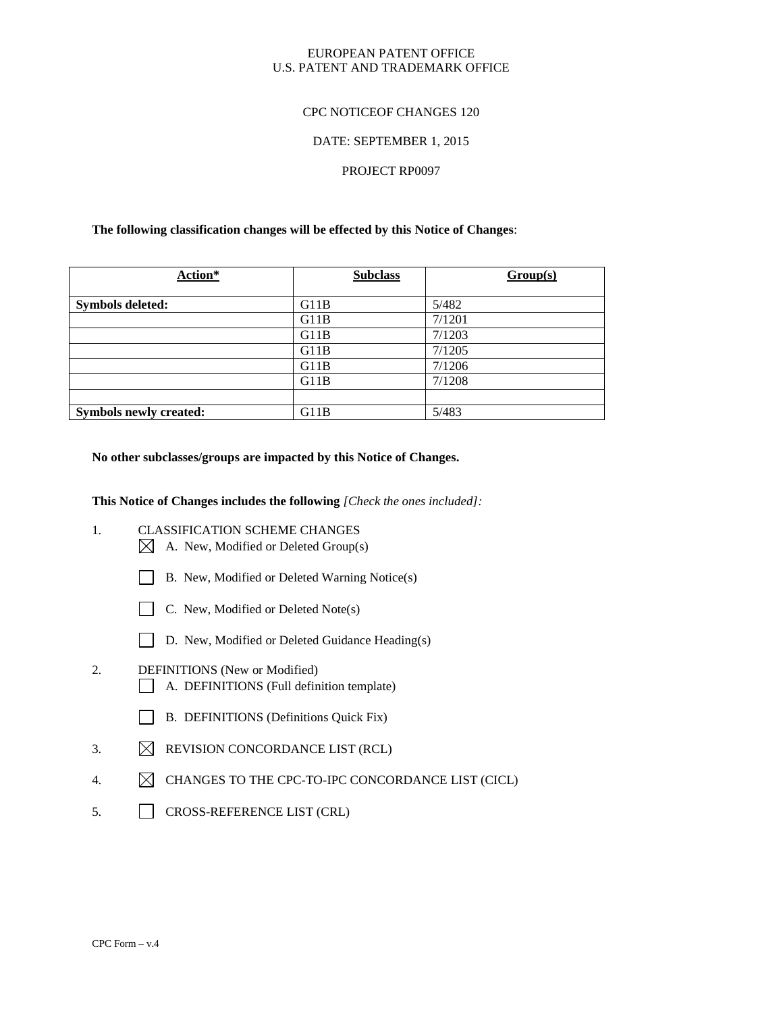# EUROPEAN PATENT OFFICE U.S. PATENT AND TRADEMARK OFFICE

# CPC NOTICEOF CHANGES 120

## DATE: SEPTEMBER 1, 2015

### PROJECT RP0097

## **The following classification changes will be effected by this Notice of Changes**:

| Action*                       | <b>Subclass</b> | Group(s) |
|-------------------------------|-----------------|----------|
|                               |                 |          |
| <b>Symbols deleted:</b>       | G11B            | 5/482    |
|                               | G11B            | 7/1201   |
|                               | G11B            | 7/1203   |
|                               | G11B            | 7/1205   |
|                               | G11B            | 7/1206   |
|                               | G11B            | 7/1208   |
|                               |                 |          |
| <b>Symbols newly created:</b> | G11B            | 5/483    |

# **No other subclasses/groups are impacted by this Notice of Changes.**

**This Notice of Changes includes the following** *[Check the ones included]:*

- 1. CLASSIFICATION SCHEME CHANGES
	- $\boxtimes$  A. New, Modified or Deleted Group(s)
	- B. New, Modified or Deleted Warning Notice(s)
	- $\Box$  C. New, Modified or Deleted Note(s)
		-
	- D. New, Modified or Deleted Guidance Heading(s)
- 2. DEFINITIONS (New or Modified) A. DEFINITIONS (Full definition template)
	- B. DEFINITIONS (Definitions Quick Fix)
- 3.  $\boxtimes$  REVISION CONCORDANCE LIST (RCL)
- 4.  $\boxtimes$  CHANGES TO THE CPC-TO-IPC CONCORDANCE LIST (CICL)
- 5. CROSS-REFERENCE LIST (CRL)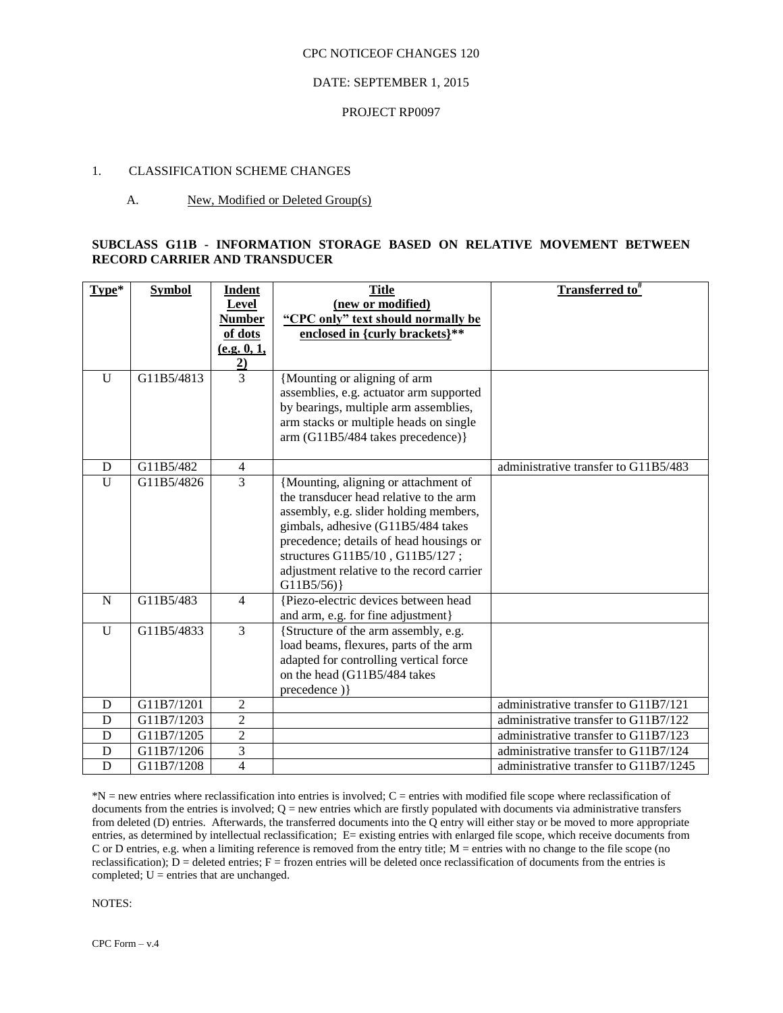### DATE: SEPTEMBER 1, 2015

#### PROJECT RP0097

# 1. CLASSIFICATION SCHEME CHANGES

### A. New, Modified or Deleted Group(s)

# **SUBCLASS G11B - INFORMATION STORAGE BASED ON RELATIVE MOVEMENT BETWEEN RECORD CARRIER AND TRANSDUCER**

| Type*        | <b>Symbol</b> | Indent<br>Level<br><b>Number</b><br>of dots<br>(e.g. 0, 1,<br>$\frac{2}{3}$ | <b>Title</b><br>(new or modified)<br>"CPC only" text should normally be<br>enclosed in {curly brackets}**                                                                                                                                                                                               | Transferred to <sup>#</sup>           |
|--------------|---------------|-----------------------------------------------------------------------------|---------------------------------------------------------------------------------------------------------------------------------------------------------------------------------------------------------------------------------------------------------------------------------------------------------|---------------------------------------|
| $\mathbf{U}$ | G11B5/4813    |                                                                             | {Mounting or aligning of arm<br>assemblies, e.g. actuator arm supported<br>by bearings, multiple arm assemblies,<br>arm stacks or multiple heads on single<br>arm (G11B5/484 takes precedence)}                                                                                                         |                                       |
| D            | G11B5/482     | $\overline{4}$                                                              |                                                                                                                                                                                                                                                                                                         | administrative transfer to G11B5/483  |
| U            | G11B5/4826    | $\overline{3}$                                                              | {Mounting, aligning or attachment of<br>the transducer head relative to the arm<br>assembly, e.g. slider holding members,<br>gimbals, adhesive (G11B5/484 takes<br>precedence; details of head housings or<br>structures G11B5/10, G11B5/127;<br>adjustment relative to the record carrier<br>G11B5/56) |                                       |
| $\mathbf N$  | G11B5/483     | $\overline{4}$                                                              | {Piezo-electric devices between head<br>and arm, e.g. for fine adjustment}                                                                                                                                                                                                                              |                                       |
| $\mathbf{U}$ | G11B5/4833    | $\overline{3}$                                                              | {Structure of the arm assembly, e.g.<br>load beams, flexures, parts of the arm<br>adapted for controlling vertical force<br>on the head (G11B5/484 takes<br>precedence) }                                                                                                                               |                                       |
| D            | G11B7/1201    | $\overline{2}$                                                              |                                                                                                                                                                                                                                                                                                         | administrative transfer to G11B7/121  |
| D            | G11B7/1203    | $\overline{2}$                                                              |                                                                                                                                                                                                                                                                                                         | administrative transfer to G11B7/122  |
| D            | G11B7/1205    | $\overline{2}$                                                              |                                                                                                                                                                                                                                                                                                         | administrative transfer to G11B7/123  |
| D            | G11B7/1206    | $\overline{3}$                                                              |                                                                                                                                                                                                                                                                                                         | administrative transfer to G11B7/124  |
| D            | G11B7/1208    | $\overline{4}$                                                              |                                                                                                                                                                                                                                                                                                         | administrative transfer to G11B7/1245 |

\*N = new entries where reclassification into entries is involved; C = entries with modified file scope where reclassification of documents from the entries is involved;  $Q =$  new entries which are firstly populated with documents via administrative transfers from deleted (D) entries. Afterwards, the transferred documents into the Q entry will either stay or be moved to more appropriate entries, as determined by intellectual reclassification; E= existing entries with enlarged file scope, which receive documents from C or D entries, e.g. when a limiting reference is removed from the entry title; M = entries with no change to the file scope (no reclassification);  $\overline{D}$  = deleted entries;  $F =$  frozen entries will be deleted once reclassification of documents from the entries is completed;  $U =$  entries that are unchanged.

NOTES: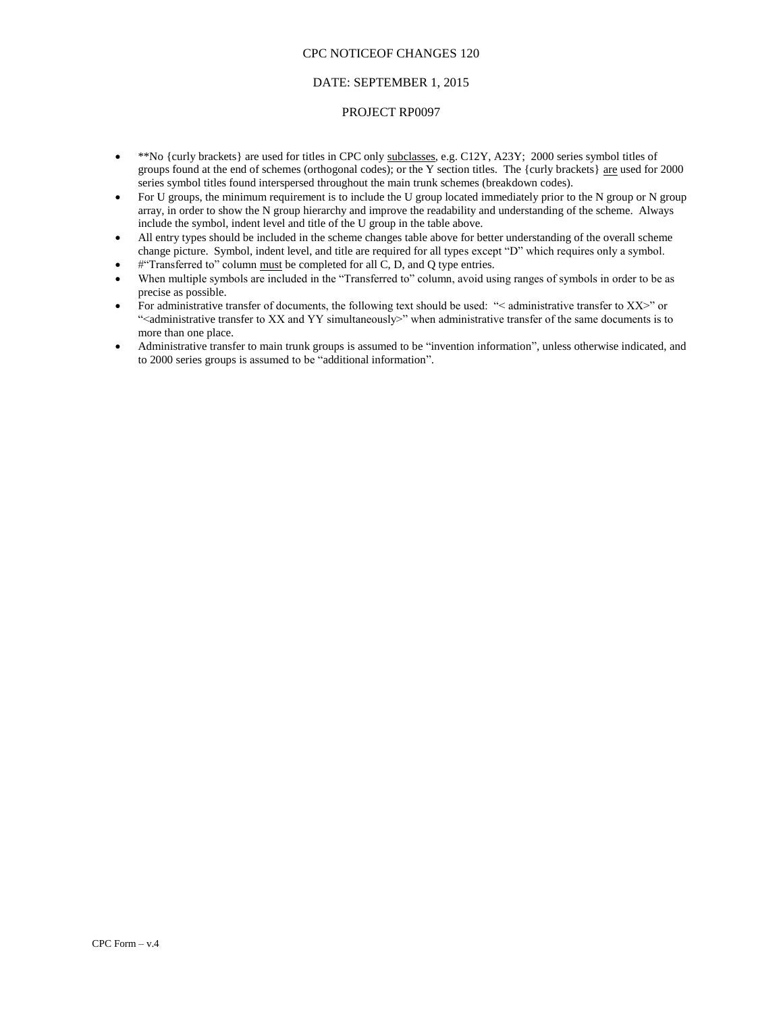# DATE: SEPTEMBER 1, 2015

### PROJECT RP0097

- \*\*No {curly brackets} are used for titles in CPC only subclasses, e.g. C12Y, A23Y; 2000 series symbol titles of groups found at the end of schemes (orthogonal codes); or the Y section titles. The {curly brackets} are used for 2000 series symbol titles found interspersed throughout the main trunk schemes (breakdown codes).
- For U groups, the minimum requirement is to include the U group located immediately prior to the N group or N group array, in order to show the N group hierarchy and improve the readability and understanding of the scheme. Always include the symbol, indent level and title of the U group in the table above.
- All entry types should be included in the scheme changes table above for better understanding of the overall scheme change picture. Symbol, indent level, and title are required for all types except "D" which requires only a symbol.
- #"Transferred to" column must be completed for all C, D, and Q type entries.
- When multiple symbols are included in the "Transferred to" column, avoid using ranges of symbols in order to be as precise as possible.
- For administrative transfer of documents, the following text should be used: "< administrative transfer to XX>" or "<administrative transfer to XX and YY simultaneously>" when administrative transfer of the same documents is to more than one place.
- Administrative transfer to main trunk groups is assumed to be "invention information", unless otherwise indicated, and to 2000 series groups is assumed to be "additional information".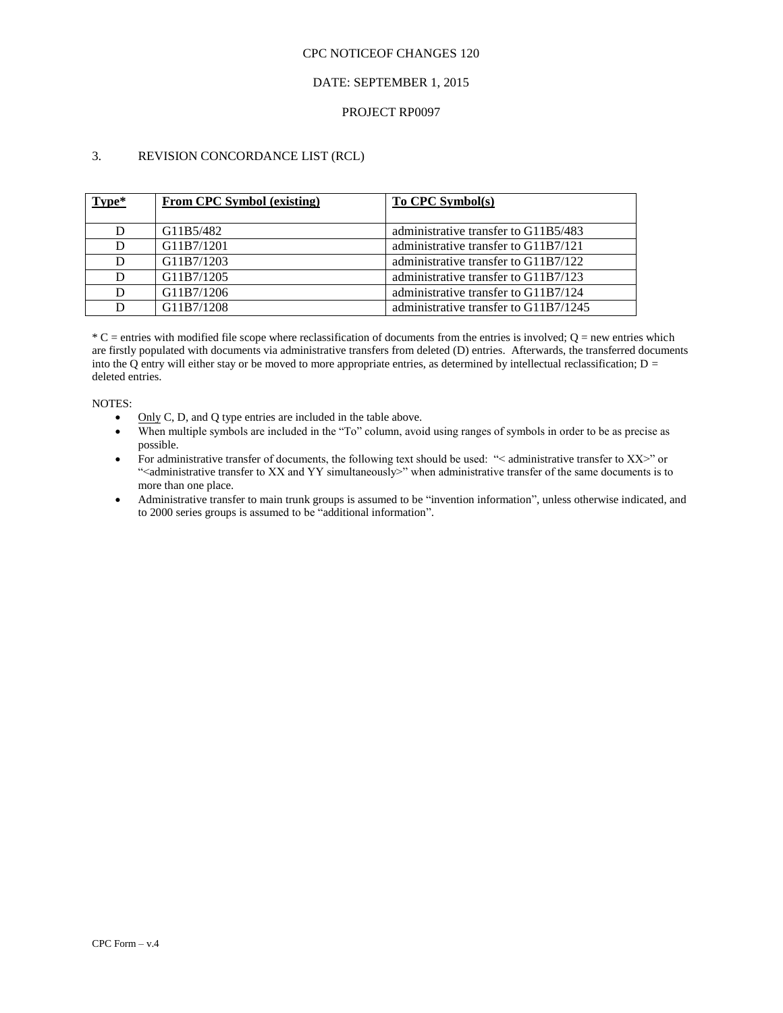# DATE: SEPTEMBER 1, 2015

## PROJECT RP0097

# 3. REVISION CONCORDANCE LIST (RCL)

| Type* | <b>From CPC Symbol (existing)</b> | <b>To CPC Symbol(s)</b>               |
|-------|-----------------------------------|---------------------------------------|
|       |                                   |                                       |
| D     | G11B5/482                         | administrative transfer to G11B5/483  |
| D     | G11B7/1201                        | administrative transfer to G11B7/121  |
| D     | G11B7/1203                        | administrative transfer to G11B7/122  |
| D     | G11B7/1205                        | administrative transfer to G11B7/123  |
| D     | G11B7/1206                        | administrative transfer to G11B7/124  |
| D     | G11B7/1208                        | administrative transfer to G11B7/1245 |

 $*C$  = entries with modified file scope where reclassification of documents from the entries is involved;  $Q$  = new entries which are firstly populated with documents via administrative transfers from deleted (D) entries. Afterwards, the transferred documents into the Q entry will either stay or be moved to more appropriate entries, as determined by intellectual reclassification;  $D =$ deleted entries.

#### NOTES:

- $\bullet$  Only C, D, and Q type entries are included in the table above.
- When multiple symbols are included in the "To" column, avoid using ranges of symbols in order to be as precise as possible.
- For administrative transfer of documents, the following text should be used: "< administrative transfer to XX>" or "<administrative transfer to XX and YY simultaneously>" when administrative transfer of the same documents is to more than one place.
- Administrative transfer to main trunk groups is assumed to be "invention information", unless otherwise indicated, and to 2000 series groups is assumed to be "additional information".